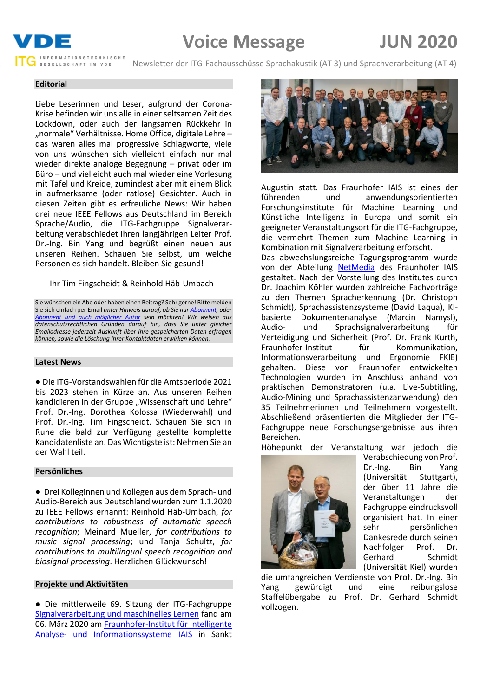# **Voice Message JUN 2020**



Newsletter der ITG-Fachausschüsse Sprachakustik (AT 3) und Sprachverarbeitung (AT 4)

# **Editorial**

Liebe Leserinnen und Leser, aufgrund der Corona-Krise befinden wir uns alle in einer seltsamen Zeit des Lockdown, oder auch der langsamen Rückkehr in "normale" Verhältnisse. Home Office, digitale Lehre – das waren alles mal progressive Schlagworte, viele von uns wünschen sich vielleicht einfach nur mal wieder direkte analoge Begegnung – privat oder im Büro – und vielleicht auch mal wieder eine Vorlesung mit Tafel und Kreide, zumindest aber mit einem Blick in aufmerksame (oder ratlose) Gesichter. Auch in diesen Zeiten gibt es erfreuliche News: Wir haben drei neue IEEE Fellows aus Deutschland im Bereich Sprache/Audio, die ITG-Fachgruppe Signalverarbeitung verabschiedet ihren langjährigen Leiter Prof. Dr.-Ing. Bin Yang und begrüßt einen neuen aus unseren Reihen. Schauen Sie selbst, um welche Personen es sich handelt. Bleiben Sie gesund!

# Ihr Tim Fingscheidt & Reinhold Häb-Umbach

Sie wünschen ein Abo oder haben einen Beitrag? Sehr gerne! Bitte melden Sie sich einfach per Email *unter Hinweis darauf, ob Sie nu[r Abonnent,](mailto:t.fingscheidt@tu-bs.de?subject=Abo%20Voice%20Message%20(kein%20Beitrag)) oder [Abonnent und auch möglicher Autor](mailto:t.fingscheidt@tu-bs.de?subject=Abo%20und%20Beitrag%20Voice%20Message) sein möchten! Wir weisen aus datenschutzrechtlichen Gründen darauf hin, dass Sie unter gleicher Emailadresse jederzeit Auskunft über Ihre gespeicherten Daten erfragen können, sowie die Löschung Ihrer Kontaktdaten erwirken können.*

# **Latest News**

● Die ITG-Vorstandswahlen für die Amtsperiode 2021 bis 2023 stehen in Kürze an. Aus unseren Reihen kandidieren in der Gruppe "Wissenschaft und Lehre" Prof. Dr.-Ing. Dorothea Kolossa (Wiederwahl) und Prof. Dr.-Ing. Tim Fingscheidt. Schauen Sie sich in Ruhe die bald zur Verfügung gestellte komplette Kandidatenliste an. Das Wichtigste ist: Nehmen Sie an der Wahl teil.

# **Persönliches**

● Drei Kolleginnen und Kollegen aus dem Sprach- und Audio-Bereich aus Deutschland wurden zum 1.1.2020 zu IEEE Fellows ernannt: Reinhold Häb-Umbach, *for contributions to robustness of automatic speech recognition*; Meinard Mueller, *for contributions to music signal processing*; und Tanja Schultz, *for contributions to multilingual speech recognition and biosignal processing*. Herzlichen Glückwunsch!

# **Projekte und Aktivitäten**

● Die mittlerweile 69. Sitzung der ITG-Fachgruppe [Signalverarbeitung und maschinelles Lernen](http://itg-signalverarbeitung-und-maschinelles-lernen.de/) fand am 06. März 2020 a[m Fraunhofer-Institut für Intelligente](https://www.iais.fraunhofer.de/)  [Analyse- und Informationssysteme](https://www.iais.fraunhofer.de/) IAIS in Sankt



Augustin statt. Das Fraunhofer IAIS ist eines der führenden und anwendungsorientierten Forschungsinstitute für Machine Learning und Künstliche Intelligenz in Europa und somit ein geeigneter Veranstaltungsort für die ITG-Fachgruppe, die vermehrt Themen zum Machine Learning in Kombination mit Signalverarbeitung erforscht.

Das abwechslungsreiche Tagungsprogramm wurde von der Abteilung [NetMedia](https://www.iais.fraunhofer.de/de/institut/abteilungen/netmedia.html) des Fraunhofer IAIS gestaltet. Nach der Vorstellung des Institutes durch Dr. Joachim Köhler wurden zahlreiche Fachvorträge zu den Themen Spracherkennung (Dr. Christoph Schmidt), Sprachassistenzsysteme (David Laqua), KIbasierte Dokumentenanalyse (Marcin Namysl), Audio- und Sprachsignalverarbeitung für Verteidigung und Sicherheit (Prof. Dr. Frank Kurth, Fraunhofer-Institut für Kommunikation, Informationsverarbeitung und Ergonomie FKIE) gehalten. Diese von Fraunhofer entwickelten Technologien wurden im Anschluss anhand von praktischen Demonstratoren (u.a. Live-Subtitling, Audio-Mining und Sprachassistenzanwendung) den 35 Teilnehmerinnen und Teilnehmern vorgestellt. Abschließend präsentierten die Mitglieder der ITG-Fachgruppe neue Forschungsergebnisse aus ihren Bereichen.

Höhepunkt der Veranstaltung war jedoch die



Verabschiedung von Prof. Dr.-Ing. Bin Yang (Universität Stuttgart), der über 11 Jahre die Veranstaltungen der Fachgruppe eindrucksvoll organisiert hat. In einer sehr persönlichen Dankesrede durch seinen Nachfolger Prof. Dr. Gerhard Schmidt (Universität Kiel) wurden

die umfangreichen Verdienste von Prof. Dr.-Ing. Bin Yang gewürdigt und eine reibungslose Staffelübergabe zu Prof. Dr. Gerhard Schmidt vollzogen.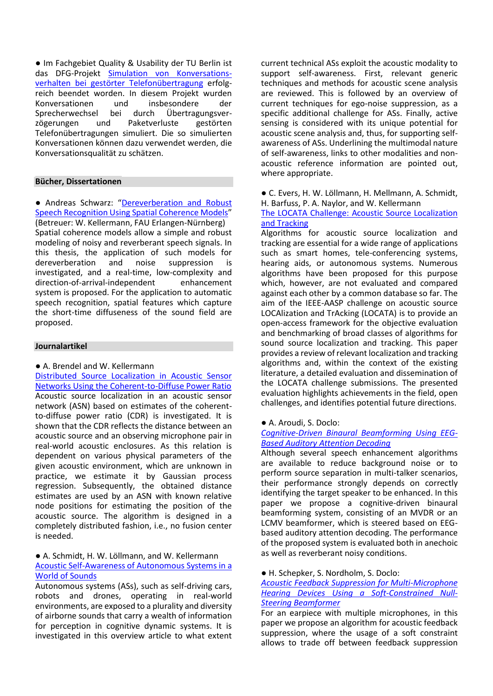● Im Fachgebiet Quality & Usability der TU Berlin ist das DFG-Projekt [Simulation von Konversations](https://www.qu.tu-berlin.de/index.php?id=184786)[verhalten bei gestörter Telefonübertragung](https://www.qu.tu-berlin.de/index.php?id=184786) erfolgreich beendet worden. In diesem Projekt wurden<br>Konversationen und insbesondere der Konversationen und insbesondere der<br>Sprecherwechsel bei durch Übertragungsver-Sprecherwechsel zögerungen und Paketverluste gestörten Telefonübertragungen simuliert. Die so simulierten Konversationen können dazu verwendet werden, die Konversationsqualität zu schätzen.

# **Bücher, Dissertationen**

● Andreas Schwarz: "[Dereverberation and Robust](https://opus4.kobv.de/opus4-fau/frontdoor/index/index/docId/12553)  [Speech Recognition Using Spatial Coherence Models](https://opus4.kobv.de/opus4-fau/frontdoor/index/index/docId/12553)" (Betreuer: W. Kellermann, FAU Erlangen-Nürnberg) Spatial coherence models allow a simple and robust modeling of noisy and reverberant speech signals. In this thesis, the application of such models for dereverberation and noise suppression is investigated, and a real-time, low-complexity and direction-of-arrival-independent enhancement system is proposed. For the application to automatic speech recognition, spatial features which capture the short-time diffuseness of the sound field are proposed.

#### **Journalartikel**

### ● A. Brendel and W. Kellermann

[Distributed Source Localization in Acoustic Sensor](https://ieeexplore.ieee.org/document/8649567/)  [Networks Using the Coherent-to-Diffuse Power Ratio](https://ieeexplore.ieee.org/document/8649567/) Acoustic source localization in an acoustic sensor network (ASN) based on estimates of the coherentto-diffuse power ratio (CDR) is investigated. It is shown that the CDR reflects the distance between an acoustic source and an observing microphone pair in real-world acoustic enclosures. As this relation is dependent on various physical parameters of the given acoustic environment, which are unknown in practice, we estimate it by Gaussian process regression. Subsequently, the obtained distance estimates are used by an ASN with known relative node positions for estimating the position of the acoustic source. The algorithm is designed in a completely distributed fashion, i.e., no fusion center is needed.

## ● A. Schmidt, H. W. Löllmann, and W. Kellermann [Acoustic Self-Awareness of Autonomous Systems in a](https://ieeexplore.ieee.org/document/9040915)  [World of Sounds](https://ieeexplore.ieee.org/document/9040915)

Autonomous systems (ASs), such as self-driving cars, robots and drones, operating in real-world environments, are exposed to a plurality and diversity of airborne sounds that carry a wealth of information for perception in cognitive dynamic systems. It is investigated in this overview article to what extent

current technical ASs exploit the acoustic modality to support self-awareness. First, relevant generic techniques and methods for acoustic scene analysis are reviewed. This is followed by an overview of current techniques for ego-noise suppression, as a specific additional challenge for ASs. Finally, active sensing is considered with its unique potential for acoustic scene analysis and, thus, for supporting selfawareness of ASs. Underlining the multimodal nature of self-awareness, links to other modalities and nonacoustic reference information are pointed out, where appropriate.

● C. Evers, H. W. Löllmann, H. Mellmann, A. Schmidt, H. Barfuss, P. A. Naylor, and W. Kellermann

[The LOCATA Challenge: Acoustic Source Localization](https://ieeexplore.ieee.org/document/9079214)  [and Tracking](https://ieeexplore.ieee.org/document/9079214)

Algorithms for acoustic source localization and tracking are essential for a wide range of applications such as smart homes, tele-conferencing systems, hearing aids, or autonomous systems. Numerous algorithms have been proposed for this purpose which, however, are not evaluated and compared against each other by a common database so far. The aim of the IEEE-AASP challenge on acoustic source LOCAlization and TrAcking (LOCATA) is to provide an open-access framework for the objective evaluation and benchmarking of broad classes of algorithms for sound source localization and tracking. This paper provides a review of relevant localization and tracking algorithms and, within the context of the existing literature, a detailed evaluation and dissemination of the LOCATA challenge submissions. The presented evaluation highlights achievements in the field, open challenges, and identifies potential future directions.

#### ● A. Aroudi, S. Doclo:

# *[Cognitive-Driven Binaural Beamforming Using EEG-](https://ieeexplore.ieee.org/document/8970495)[Based Auditory Attention Decoding](https://ieeexplore.ieee.org/document/8970495)*

Although several speech enhancement algorithms are available to reduce background noise or to perform source separation in multi-talker scenarios, their performance strongly depends on correctly identifying the target speaker to be enhanced. In this paper we propose a cognitive-driven binaural beamforming system, consisting of an MVDR or an LCMV beamformer, which is steered based on EEGbased auditory attention decoding. The performance of the proposed system is evaluated both in anechoic as well as reverberant noisy conditions.

● H. Schepker, S. Nordholm, S. Doclo:

# *[Acoustic Feedback Suppression for Multi-Microphone](https://ieeexplore.ieee.org/document/9007340)  [Hearing Devices Using a Soft-Constrained Null-](https://ieeexplore.ieee.org/document/9007340)[Steering Beamformer](https://ieeexplore.ieee.org/document/9007340)*

For an earpiece with multiple microphones, in this paper we propose an algorithm for acoustic feedback suppression, where the usage of a soft constraint allows to trade off between feedback suppression